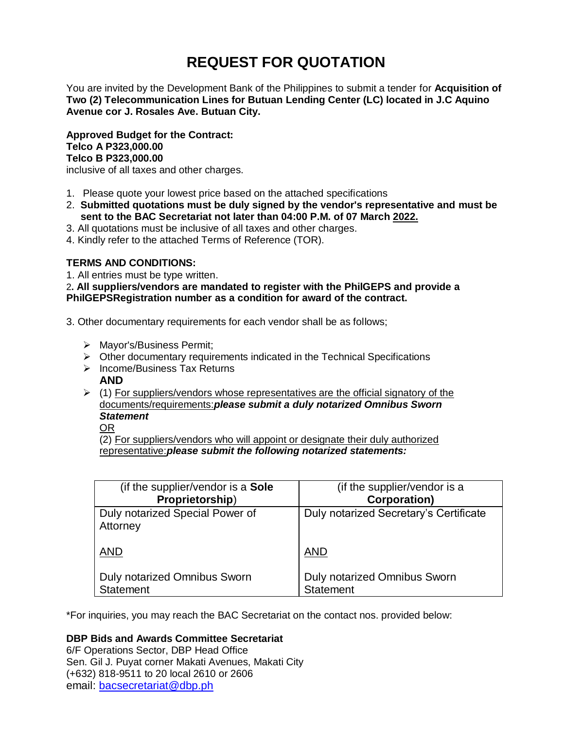# **REQUEST FOR QUOTATION**

You are invited by the Development Bank of the Philippines to submit a tender for **Acquisition of Two (2) Telecommunication Lines for Butuan Lending Center (LC) located in J.C Aquino Avenue cor J. Rosales Ave. Butuan City.**

**Approved Budget for the Contract: Telco A P323,000.00 Telco B P323,000.00**

inclusive of all taxes and other charges.

- 1. Please quote your lowest price based on the attached specifications
- 2. **Submitted quotations must be duly signed by the vendor's representative and must be sent to the BAC Secretariat not later than 04:00 P.M. of 07 March 2022.**
- 3. All quotations must be inclusive of all taxes and other charges.
- 4. Kindly refer to the attached Terms of Reference (TOR).

# **TERMS AND CONDITIONS:**

1. All entries must be type written.

2**. All suppliers/vendors are mandated to register with the PhilGEPS and provide a PhilGEPSRegistration number as a condition for award of the contract.**

- 3. Other documentary requirements for each vendor shall be as follows;
	- > Mayor's/Business Permit;
	- $\triangleright$  Other documentary requirements indicated in the Technical Specifications
	- $\triangleright$  Income/Business Tax Returns **AND**
	- $\triangleright$  (1) For suppliers/vendors whose representatives are the official signatory of the documents/requirements:*please submit a duly notarized Omnibus Sworn Statement*

OR

(2) For suppliers/vendors who will appoint or designate their duly authorized representative:*please submit the following notarized statements:*

| (if the supplier/vendor is a Sole           | (if the supplier/vendor is a           |
|---------------------------------------------|----------------------------------------|
| Proprietorship)                             | <b>Corporation)</b>                    |
| Duly notarized Special Power of<br>Attorney | Duly notarized Secretary's Certificate |
| <b>AND</b>                                  | <b>AND</b>                             |
| Duly notarized Omnibus Sworn                | <b>Duly notarized Omnibus Sworn</b>    |
| Statement                                   | <b>Statement</b>                       |

\*For inquiries, you may reach the BAC Secretariat on the contact nos. provided below:

# **DBP Bids and Awards Committee Secretariat**

6/F Operations Sector, DBP Head Office Sen. Gil J. Puyat corner Makati Avenues, Makati City (+632) 818-9511 to 20 local 2610 or 2606 email: [bacsecretariat@dbp.ph](mailto:bacsecretariat@dbp.ph)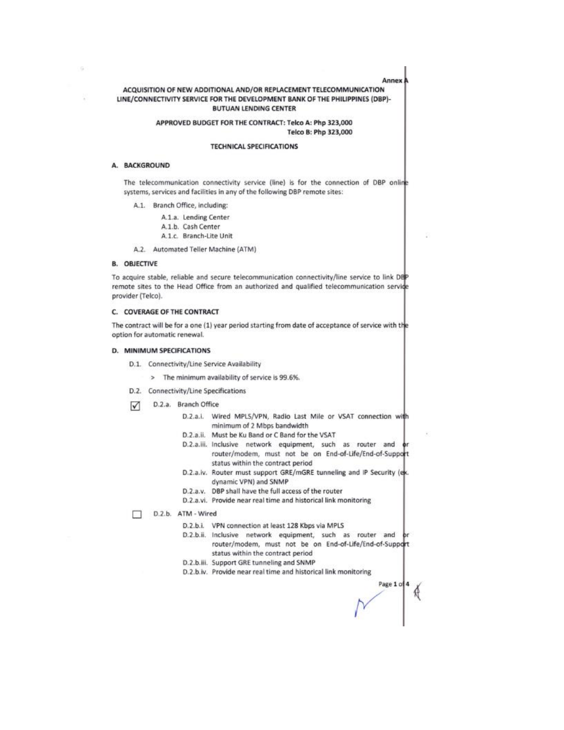Annex.

## ACQUISITION OF NEW ADDITIONAL AND/OR REPLACEMENT TELECOMMUNICATION LINE/CONNECTIVITY SERVICE FOR THE DEVELOPMENT BANK OF THE PHILIPPINES (DBP)-**BUTUAN LENDING CENTER**

#### APPROVED BUDGET FOR THE CONTRACT: Telco A: Php 323,000 Telco B: Php 323,000

#### **TECHNICAL SPECIFICATIONS**

#### A. BACKGROUND

The telecommunication connectivity service (line) is for the connection of DBP online systems, services and facilities in any of the following DBP remote sites:

A.1. Branch Office, including:

A.1.a. Lending Center

- A.1.b. Cash Center
- A.1.c. Branch-Lite Unit
- A.2. Automated Teller Machine (ATM)

## **B. OBJECTIVE**

To acquire stable, reliable and secure telecommunication connectivity/line service to link DEP remote sites to the Head Office from an authorized and qualified telecommunication servide provider (Telco).

#### C. COVERAGE OF THE CONTRACT

The contract will be for a one (1) year period starting from date of acceptance of service with the option for automatic renewal.

#### D. MINIMUM SPECIFICATIONS

- D.1. Connectivity/Line Service Availability
	- > The minimum availability of service is 99.6%.
- D.2. Connectivity/Line Specifications
- D.2.a. Branch Office ☑
	- D.2.a.i. Wired MPLS/VPN, Radio Last Mile or VSAT connection with minimum of 2 Mbps bandwidth
	- D.2.a.ii. Must be Ku Band or C Band for the VSAT
	- D.2.a.iii. Inclusive network equipment, such as router and router/modem, must not be on End-of-Life/End-of-Support status within the contract period
	- D.2.a.iv. Router must support GRE/mGRE tunneling and IP Security (ex. dynamic VPN) and SNMP
	- D.2.a.v. DBP shall have the full access of the router
	- D.2.a.vi. Provide near real time and historical link monitoring

D.2.b. ATM - Wired  $\Box$ 

- D.2.b.i. VPN connection at least 128 Kbps via MPLS
- D.2.b.ii. Inclusive network equipment, such as router and router/modem, must not be on End-of-Life/End-of-Support status within the contract period
- D.2.b.iii. Support GRE tunneling and SNMP
- D.2.b.iv. Provide near real time and historical link monitoring

Page 1 of 4 €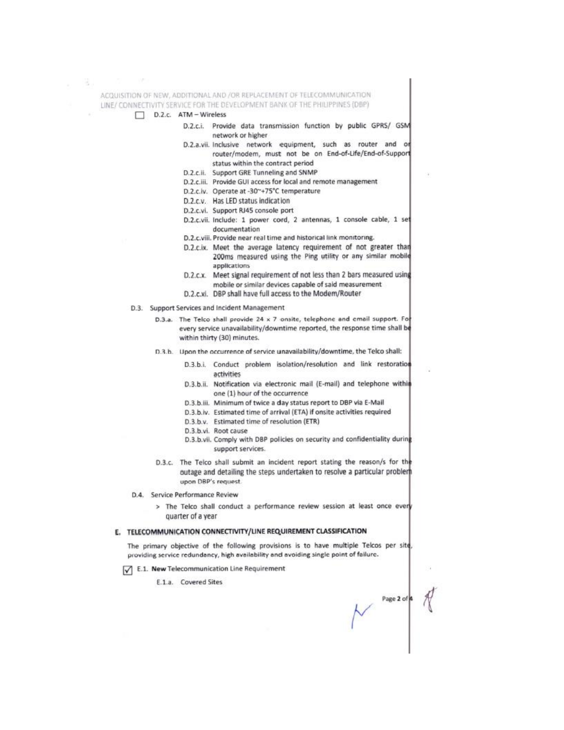ACQUISITION OF NEW, ADDITIONAL AND /OR REPLACEMENT OF TELECOMMUNICATION LINE/ CONNECTIVITY SERVICE FOR THE DEVELOPMENT BANK OF THE PHILIPPINES (DBP)

- D.2.c. ATM Wireless
	- D.2.c.i. Provide data transmission function by public GPRS/ GSM network or higher
	- D.2.a.vii. Inclusive network equipment, such as router and or router/modem, must not be on End-of-Life/End-of-Support status within the contract period
	- D.2.c.ii. Support GRE Tunneling and SNMP
	- D.2.c.iii. Provide GUI access for local and remote management
	- D.2.c.lv. Operate at -30~+75°C temperature
	- D.2.c.v. Has LED status indication
	- D.2.c.vi. Support RJ45 console port
	- D.2.c.vii. Include: 1 power cord, 2 antennas, 1 console cable, 1 set documentation
	- D.2.c.viii. Provide near real time and historical link monitoring.
	- D.2.c.ix. Meet the average latency requirement of not greater than 200ms measured using the Ping utility or any similar mobile applications
	- D.2.c.x. Meet signal requirement of not less than 2 bars measured using mobile or similar devices capable of said measurement
	- D.2.c.xi. DBP shall have full access to the Modem/Router
- D.3. Support Services and Incident Management
	- D.3.a. The Telco shall provide 24 x 7 onsite, telephone and email support. For every service unavailability/downtime reported, the response time shall be within thirty (30) minutes.
	- D.3.h. Upon the occurrence of service unavailability/downtime, the Telco shall:
		- D.3.b.i. Conduct problem isolation/resolution and link restoration activities
		- D.3.b.ii. Notification via electronic mail (E-mail) and telephone within one (1) hour of the occurrence
		- D.3.b.iii. Minimum of twice a day status report to DBP via E-Mail
		- D.3.b.iv. Estimated time of arrival (ETA) if onsite activities required
		- D.3.b.v. Estimated time of resolution (ETR)
		- D.3.b.vi. Root cause
		- D.3.b.vii. Comply with DBP policies on security and confidentiality during support services.

Page 2 of 4

- D.3.c. The Telco shall submit an incident report stating the reason/s for the outage and detailing the steps undertaken to resolve a particular probler upon DBP's request.
- D.4. Service Performance Review
	- > The Telco shall conduct a performance review session at least once every quarter of a year

# E. TELECOMMUNICATION CONNECTIVITY/LINE REQUIREMENT CLASSIFICATION

The primary objective of the following provisions is to have multiple Telcos per site, providing service redundancy, high availability and avoiding single point of failure.

E.1. New Telecommunication Line Requirement

E.1.a. Covered Sites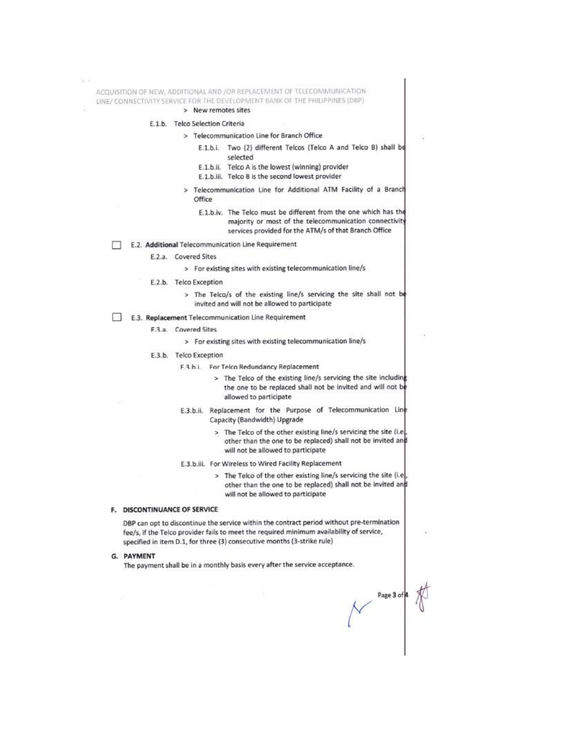ACQUISITION OF NEW, ADDITIONAL AND /OR REPLACEMENT OF TELECOMMUNICATION LINE/ CONNECTIVITY SERVICE FOR THE DEVELOPMENT BANK OF THE PHILIPPINES (DBP)

#### > New remotes sites

#### E.1.b. Telco Selection Criteria

- > Telecommunication Line for Branch Office
	- E.1.b.i. Two (2) different Telcos (Telco A and Telco B) shall be selected
	- E.1.b.ii. Telco A is the lowest (winning) provider
	- E.1.b.iii. Telco B is the second lowest provider
- Telecommunication Line for Additional ATM Facility of a Branch  $\overline{ }$ Office
	- E.1.b.iv. The Telco must be different from the one which has the majority or most of the telecommunication connectivity services provided for the ATM/s of that Branch Office
- E.2. Additional Telecommunication Line Requirement ि।
	- E.2.a. Covered Sites
		- > For existing sites with existing telecommunication line/s
	- E.2.b. Telco Exception
		- > The Telco/s of the existing line/s servicing the site shall not be invited and will not be allowed to participate

# E.3. Replacement Telecommunication Line Requirement

F.3.a. Covered Sites

> For existing sites with existing telecommunication line/s

- E.3.b. Telco Exception
	- F.3.b.i. For Telco Redundancy Replacement
		- > The Telco of the existing line/s servicing the site including the one to be replaced shall not be invited and will not be allowed to participate
	- E.3.b.ii. Replacement for the Purpose of Telecommunication Line Capacity (Bandwidth) Upgrade
		- > The Telco of the other existing line/s servicing the site (i.e) other than the one to be replaced) shall not be invited and will not be allowed to participate
	- E.3.b.iii. For Wireless to Wired Facility Replacement
		- > The Telco of the other existing line/s servicing the site (i.e. other than the one to be replaced) shall not be invited and will not be allowed to participate

#### F. DISCONTINUANCE OF SERVICE

DBP can opt to discontinue the service within the contract period without pre-termination fee/s, if the Telco provider fails to meet the required minimum availability of service, specified in item D.1, for three (3) consecutive months (3-strike rule)

G. PAYMENT

The payment shall be in a monthly basis every after the service acceptance.

 $\sim$  Page 3 of  $\frac{1}{\sqrt{2}}$